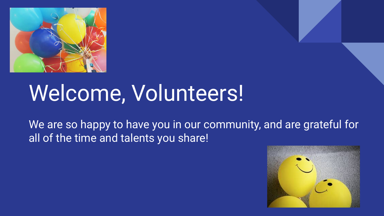

## Welcome, Volunteers!

We are so happy to have you in our community, and are grateful for all of the time and talents you share!

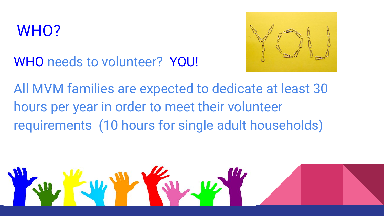## WHO?



WHO needs to volunteer? YOU!

All MVM families are expected to dedicate at least 30 hours per year in order to meet their volunteer requirements (10 hours for single adult households)

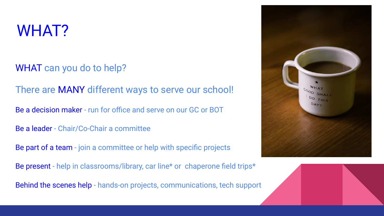## WHAT?

WHAT can you do to help?

There are MANY different ways to serve our school!

Be a decision maker - run for office and serve on our GC or BOT

Be a leader - Chair/Co-Chair a committee

Be part of a team - join a committee or help with specific projects

Be present - help in classrooms/library, car line\* or chaperone field trips\*

Behind the scenes help - hands-on projects, communications, tech support



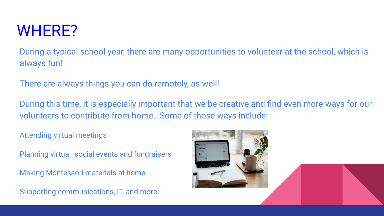## WHERE?

During a typical school year, there are many opportunities to volunteer at the school, which is always fun!

There are always things you can do remotely, as well!

During this time, it is especially important that we be creative and find even more ways for our volunteers to contribute from home. Some of those ways include:

Attending virtual meetings

Planning virtual social events and fundraisers

Making Montessori materials at home

Supporting communications, IT, and more!

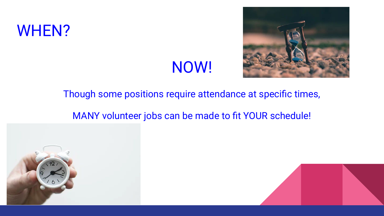### WHEN?

## NOW!



#### Though some positions require attendance at specific times,

#### MANY volunteer jobs can be made to fit YOUR schedule!



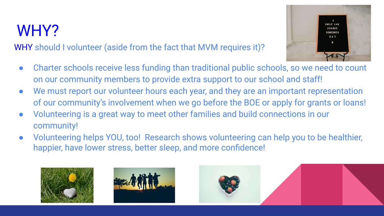## WHY?

WHY should I volunteer (aside from the fact that MVM requires it)?



- Charter schools receive less funding than traditional public schools, so we need to count on our community members to provide extra support to our school and staff!
- We must report our volunteer hours each year, and they are an important representation of our community's involvement when we go before the BOE or apply for grants or loans!
- Volunteering is a great way to meet other families and build connections in our community!
- Volunteering helps YOU, too! Research shows volunteering can help you to be healthier, happier, have lower stress, better sleep, and more confidence!





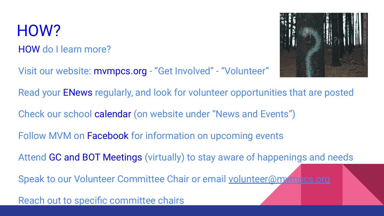## HOW?

#### HOW do I learn more?

Visit our website: mvmpcs.org - "Get Involved" - "Volunteer"



Read your ENews regularly, and look for volunteer opportunities that are posted

Check our school calendar (on website under "News and Events")

Follow MVM on Facebook for information on upcoming events

Attend GC and BOT Meetings (virtually) to stay aware of happenings and needs

Speak to our Volunteer Committee Chair or email [volunteer@mvmpcs.org](mailto:volunteer@mvmpcs.org)

Reach out to specific committee chairs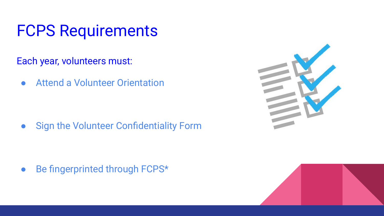## FCPS Requirements

Each year, volunteers must:

● Attend a Volunteer Orientation

● Sign the Volunteer Confidentiality Form

• Be fingerprinted through FCPS\*



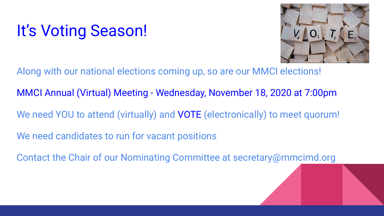## It's Voting Season!



Along with our national elections coming up, so are our MMCI elections!

MMCI Annual (Virtual) Meeting - Wednesday, November 18, 2020 at 7:00pm

We need YOU to attend (virtually) and VOTE (electronically) to meet quorum!

We need candidates to run for vacant positions

Contact the Chair of our Nominating Committee at secretary@mmcimd.org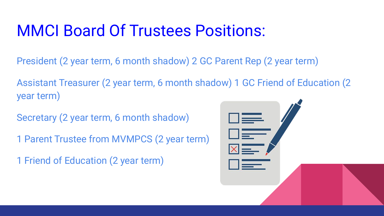## MMCI Board Of Trustees Positions:

- President (2 year term, 6 month shadow) 2 GC Parent Rep (2 year term)
- Assistant Treasurer (2 year term, 6 month shadow) 1 GC Friend of Education (2 year term)
- Secretary (2 year term, 6 month shadow)
- 1 Parent Trustee from MVMPCS (2 year term)
- 1 Friend of Education (2 year term)

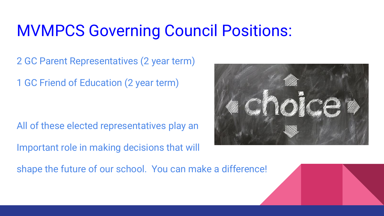## MVMPCS Governing Council Positions:

2 GC Parent Representatives (2 year term)

1 GC Friend of Education (2 year term)

All of these elected representatives play an Important role in making decisions that will

shape the future of our school. You can make a difference!

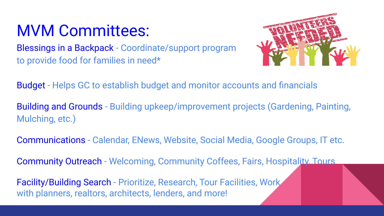## MVM Committees:

Blessings in a Backpack - Coordinate/support program to provide food for families in need\*



Budget - Helps GC to establish budget and monitor accounts and financials

Building and Grounds - Building upkeep/improvement projects (Gardening, Painting, Mulching, etc.)

Communications - Calendar, ENews, Website, Social Media, Google Groups, IT etc.

Community Outreach - Welcoming, Community Coffees, Fairs, Hospitality, Tours

Facility/Building Search - Prioritize, Research, Tour Facilities, Work with planners, realtors, architects, lenders, and more!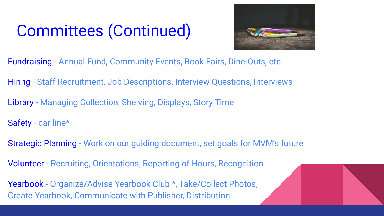## Committees (Continued)



- Fundraising Annual Fund, Community Events, Book Fairs, Dine-Outs, etc.
- Hiring Staff Recruitment, Job Descriptions, Interview Questions, Interviews
- Library Managing Collection, Shelving, Displays, Story Time
- Safety car line\*
- Strategic Planning Work on our guiding document, set goals for MVM's future
- Volunteer Recruiting, Orientations, Reporting of Hours, Recognition
- Yearbook Organize/Advise Yearbook Club \*, Take/Collect Photos, Create Yearbook, Communicate with Publisher, Distribution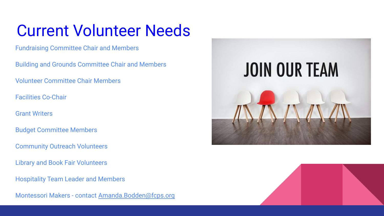## Current Volunteer Needs

Fundraising Committee Chair and Members

Building and Grounds Committee Chair and Members

Volunteer Committee Chair Members

Facilities Co-Chair

Grant Writers

Budget Committee Members

Community Outreach Volunteers

Library and Book Fair Volunteers

Hospitality Team Leader and Members

Montessori Makers - contact [Amanda.Bodden@fcps.org](mailto:Amanda.Bodden@fcps.org)



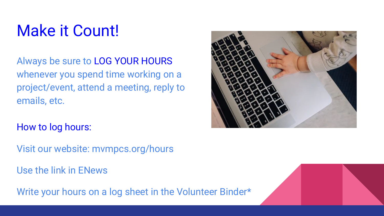## Make it Count!

Always be sure to LOG YOUR HOURS whenever you spend time working on a project/event, attend a meeting, reply to emails, etc.



How to log hours:

Visit our website: mvmpcs.org/hours

Use the link in ENews

Write your hours on a log sheet in the Volunteer Binder\*